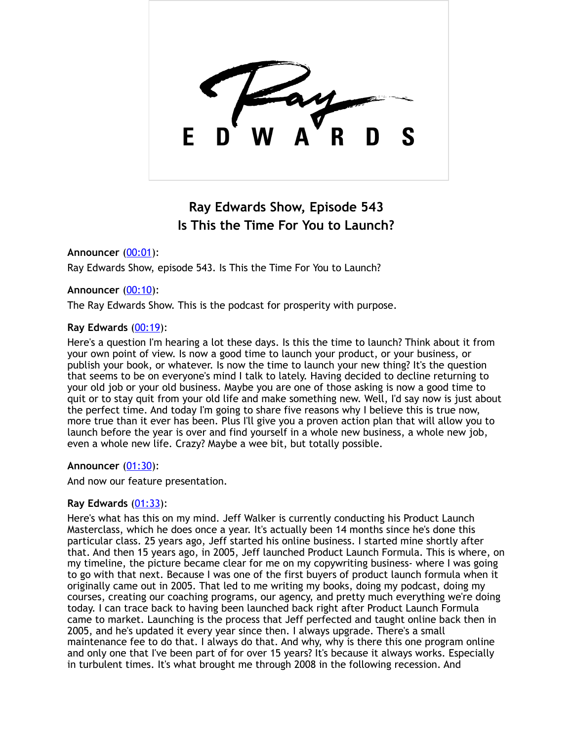

# **Ray Edwards Show, Episode 543 Is This the Time For You to Launch?**

**Announcer** [\(00:01](https://www.temi.com/editor/t/ng6A8zwdbSUou9aeddFpCaiuevj9f8KThPOGARsUH7vDsPU529JWgMV8DCtpQbDS5Qky90zywvT4bi80_sXaOk9RHJg?loadFrom=DocumentDeeplink&ts=1.05)):

Ray Edwards Show, episode 543. Is This the Time For You to Launch?

## **Announcer** [\(00:10](https://www.temi.com/editor/t/ng6A8zwdbSUou9aeddFpCaiuevj9f8KThPOGARsUH7vDsPU529JWgMV8DCtpQbDS5Qky90zywvT4bi80_sXaOk9RHJg?loadFrom=DocumentDeeplink&ts=10.02)):

The Ray Edwards Show. This is the podcast for prosperity with purpose.

## **Ray Edwards** [\(00:19](https://www.temi.com/editor/t/ng6A8zwdbSUou9aeddFpCaiuevj9f8KThPOGARsUH7vDsPU529JWgMV8DCtpQbDS5Qky90zywvT4bi80_sXaOk9RHJg?loadFrom=DocumentDeeplink&ts=19.2)):

Here's a question I'm hearing a lot these days. Is this the time to launch? Think about it from your own point of view. Is now a good time to launch your product, or your business, or publish your book, or whatever. Is now the time to launch your new thing? It's the question that seems to be on everyone's mind I talk to lately. Having decided to decline returning to your old job or your old business. Maybe you are one of those asking is now a good time to quit or to stay quit from your old life and make something new. Well, I'd say now is just about the perfect time. And today I'm going to share five reasons why I believe this is true now, more true than it ever has been. Plus I'll give you a proven action plan that will allow you to launch before the year is over and find yourself in a whole new business, a whole new job, even a whole new life. Crazy? Maybe a wee bit, but totally possible.

## **Announcer** [\(01:30](https://www.temi.com/editor/t/ng6A8zwdbSUou9aeddFpCaiuevj9f8KThPOGARsUH7vDsPU529JWgMV8DCtpQbDS5Qky90zywvT4bi80_sXaOk9RHJg?loadFrom=DocumentDeeplink&ts=90.12)):

And now our feature presentation.

## **Ray Edwards** [\(01:33](https://www.temi.com/editor/t/ng6A8zwdbSUou9aeddFpCaiuevj9f8KThPOGARsUH7vDsPU529JWgMV8DCtpQbDS5Qky90zywvT4bi80_sXaOk9RHJg?loadFrom=DocumentDeeplink&ts=93.9)):

Here's what has this on my mind. Jeff Walker is currently conducting his Product Launch Masterclass, which he does once a year. It's actually been 14 months since he's done this particular class. 25 years ago, Jeff started his online business. I started mine shortly after that. And then 15 years ago, in 2005, Jeff launched Product Launch Formula. This is where, on my timeline, the picture became clear for me on my copywriting business- where I was going to go with that next. Because I was one of the first buyers of product launch formula when it originally came out in 2005. That led to me writing my books, doing my podcast, doing my courses, creating our coaching programs, our agency, and pretty much everything we're doing today. I can trace back to having been launched back right after Product Launch Formula came to market. Launching is the process that Jeff perfected and taught online back then in 2005, and he's updated it every year since then. I always upgrade. There's a small maintenance fee to do that. I always do that. And why, why is there this one program online and only one that I've been part of for over 15 years? It's because it always works. Especially in turbulent times. It's what brought me through 2008 in the following recession. And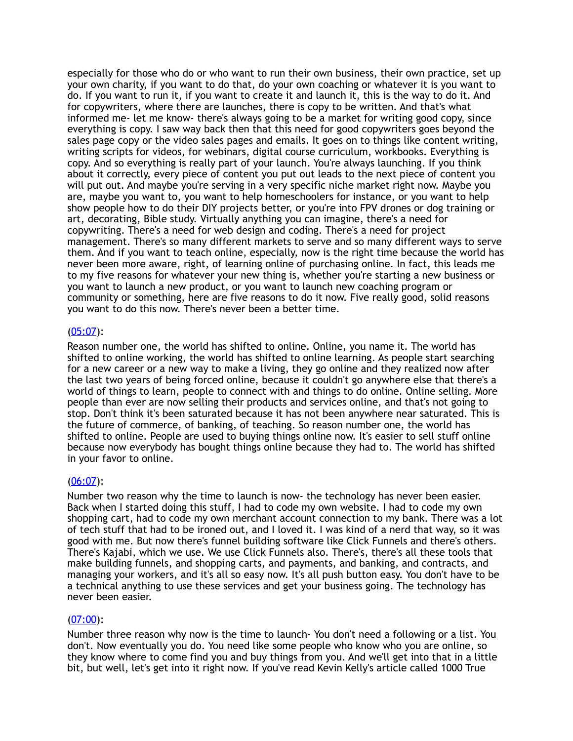especially for those who do or who want to run their own business, their own practice, set up your own charity, if you want to do that, do your own coaching or whatever it is you want to do. If you want to run it, if you want to create it and launch it, this is the way to do it. And for copywriters, where there are launches, there is copy to be written. And that's what informed me- let me know- there's always going to be a market for writing good copy, since everything is copy. I saw way back then that this need for good copywriters goes beyond the sales page copy or the video sales pages and emails. It goes on to things like content writing, writing scripts for videos, for webinars, digital course curriculum, workbooks. Everything is copy. And so everything is really part of your launch. You're always launching. If you think about it correctly, every piece of content you put out leads to the next piece of content you will put out. And maybe you're serving in a very specific niche market right now. Mavbe you are, maybe you want to, you want to help homeschoolers for instance, or you want to help show people how to do their DIY projects better, or you're into FPV drones or dog training or art, decorating, Bible study. Virtually anything you can imagine, there's a need for copywriting. There's a need for web design and coding. There's a need for project management. There's so many different markets to serve and so many different ways to serve them. And if you want to teach online, especially, now is the right time because the world has never been more aware, right, of learning online of purchasing online. In fact, this leads me to my five reasons for whatever your new thing is, whether you're starting a new business or you want to launch a new product, or you want to launch new coaching program or community or something, here are five reasons to do it now. Five really good, solid reasons you want to do this now. There's never been a better time.

## [\(05:07](https://www.temi.com/editor/t/ng6A8zwdbSUou9aeddFpCaiuevj9f8KThPOGARsUH7vDsPU529JWgMV8DCtpQbDS5Qky90zywvT4bi80_sXaOk9RHJg?loadFrom=DocumentDeeplink&ts=307.6)):

Reason number one, the world has shifted to online. Online, you name it. The world has shifted to online working, the world has shifted to online learning. As people start searching for a new career or a new way to make a living, they go online and they realized now after the last two years of being forced online, because it couldn't go anywhere else that there's a world of things to learn, people to connect with and things to do online. Online selling. More people than ever are now selling their products and services online, and that's not going to stop. Don't think it's been saturated because it has not been anywhere near saturated. This is the future of commerce, of banking, of teaching. So reason number one, the world has shifted to online. People are used to buying things online now. It's easier to sell stuff online because now everybody has bought things online because they had to. The world has shifted in your favor to online.

## $(06:07)$  $(06:07)$ :

Number two reason why the time to launch is now- the technology has never been easier. Back when I started doing this stuff, I had to code my own website. I had to code my own shopping cart, had to code my own merchant account connection to my bank. There was a lot of tech stuff that had to be ironed out, and I loved it. I was kind of a nerd that way, so it was good with me. But now there's funnel building software like Click Funnels and there's others. There's Kajabi, which we use. We use Click Funnels also. There's, there's all these tools that make building funnels, and shopping carts, and payments, and banking, and contracts, and managing your workers, and it's all so easy now. It's all push button easy. You don't have to be a technical anything to use these services and get your business going. The technology has never been easier.

## [\(07:00](https://www.temi.com/editor/t/ng6A8zwdbSUou9aeddFpCaiuevj9f8KThPOGARsUH7vDsPU529JWgMV8DCtpQbDS5Qky90zywvT4bi80_sXaOk9RHJg?loadFrom=DocumentDeeplink&ts=420.78)):

Number three reason why now is the time to launch- You don't need a following or a list. You don't. Now eventually you do. You need like some people who know who you are online, so they know where to come find you and buy things from you. And we'll get into that in a little bit, but well, let's get into it right now. If you've read Kevin Kelly's article called 1000 True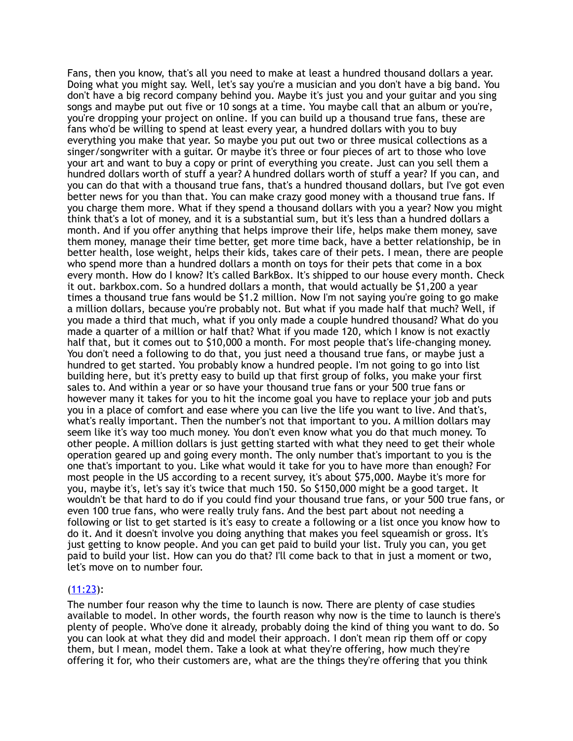Fans, then you know, that's all you need to make at least a hundred thousand dollars a year. Doing what you might say. Well, let's say you're a musician and you don't have a big band. You don't have a big record company behind you. Maybe it's just you and your guitar and you sing songs and maybe put out five or 10 songs at a time. You maybe call that an album or you're, you're dropping your project on online. If you can build up a thousand true fans, these are fans who'd be willing to spend at least every year, a hundred dollars with you to buy everything you make that year. So maybe you put out two or three musical collections as a singer/songwriter with a guitar. Or maybe it's three or four pieces of art to those who love your art and want to buy a copy or print of everything you create. Just can you sell them a hundred dollars worth of stuff a year? A hundred dollars worth of stuff a year? If you can, and you can do that with a thousand true fans, that's a hundred thousand dollars, but I've got even better news for you than that. You can make crazy good money with a thousand true fans. If you charge them more. What if they spend a thousand dollars with you a year? Now you might think that's a lot of money, and it is a substantial sum, but it's less than a hundred dollars a month. And if you offer anything that helps improve their life, helps make them money, save them money, manage their time better, get more time back, have a better relationship, be in better health, lose weight, helps their kids, takes care of their pets. I mean, there are people who spend more than a hundred dollars a month on toys for their pets that come in a box every month. How do I know? It's called BarkBox. It's shipped to our house every month. Check it out. barkbox.com. So a hundred dollars a month, that would actually be \$1,200 a year times a thousand true fans would be \$1.2 million. Now I'm not saying you're going to go make a million dollars, because you're probably not. But what if you made half that much? Well, if you made a third that much, what if you only made a couple hundred thousand? What do you made a quarter of a million or half that? What if you made 120, which I know is not exactly half that, but it comes out to \$10,000 a month. For most people that's life-changing money. You don't need a following to do that, you just need a thousand true fans, or maybe just a hundred to get started. You probably know a hundred people. I'm not going to go into list building here, but it's pretty easy to build up that first group of folks, you make your first sales to. And within a year or so have your thousand true fans or your 500 true fans or however many it takes for you to hit the income goal you have to replace your job and puts you in a place of comfort and ease where you can live the life you want to live. And that's, what's really important. Then the number's not that important to you. A million dollars may seem like it's way too much money. You don't even know what you do that much money. To other people. A million dollars is just getting started with what they need to get their whole operation geared up and going every month. The only number that's important to you is the one that's important to you. Like what would it take for you to have more than enough? For most people in the US according to a recent survey, it's about \$75,000. Maybe it's more for you, maybe it's, let's say it's twice that much 150. So \$150,000 might be a good target. It wouldn't be that hard to do if you could find your thousand true fans, or your 500 true fans, or even 100 true fans, who were really truly fans. And the best part about not needing a following or list to get started is it's easy to create a following or a list once you know how to do it. And it doesn't involve you doing anything that makes you feel squeamish or gross. It's just getting to know people. And you can get paid to build your list. Truly you can, you get paid to build your list. How can you do that? I'll come back to that in just a moment or two, let's move on to number four.

## [\(11:23](https://www.temi.com/editor/t/ng6A8zwdbSUou9aeddFpCaiuevj9f8KThPOGARsUH7vDsPU529JWgMV8DCtpQbDS5Qky90zywvT4bi80_sXaOk9RHJg?loadFrom=DocumentDeeplink&ts=683.011)):

The number four reason why the time to launch is now. There are plenty of case studies available to model. In other words, the fourth reason why now is the time to launch is there's plenty of people. Who've done it already, probably doing the kind of thing you want to do. So you can look at what they did and model their approach. I don't mean rip them off or copy them, but I mean, model them. Take a look at what they're offering, how much they're offering it for, who their customers are, what are the things they're offering that you think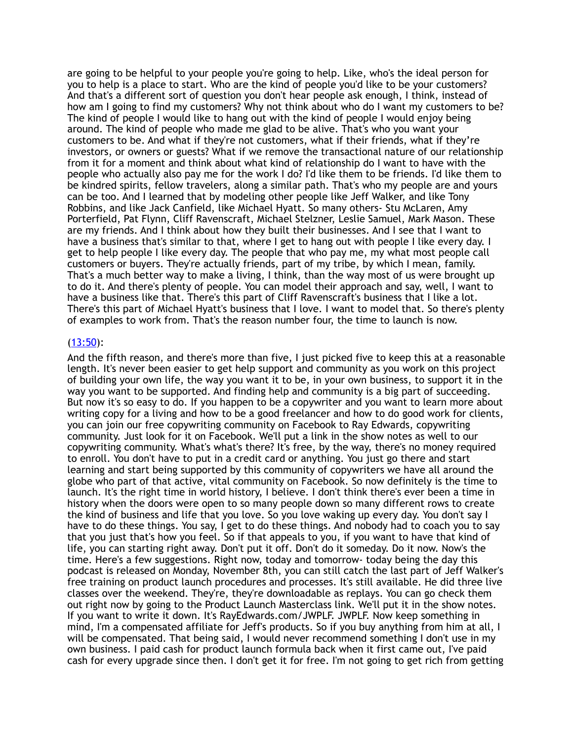are going to be helpful to your people you're going to help. Like, who's the ideal person for you to help is a place to start. Who are the kind of people you'd like to be your customers? And that's a different sort of question you don't hear people ask enough, I think, instead of how am I going to find my customers? Why not think about who do I want my customers to be? The kind of people I would like to hang out with the kind of people I would enjoy being around. The kind of people who made me glad to be alive. That's who you want your customers to be. And what if they're not customers, what if their friends, what if they're investors, or owners or guests? What if we remove the transactional nature of our relationship from it for a moment and think about what kind of relationship do I want to have with the people who actually also pay me for the work I do? I'd like them to be friends. I'd like them to be kindred spirits, fellow travelers, along a similar path. That's who my people are and yours can be too. And I learned that by modeling other people like Jeff Walker, and like Tony Robbins, and like Jack Canfield, like Michael Hyatt. So many others- Stu McLaren, Amy Porterfield, Pat Flynn, Cliff Ravenscraft, Michael Stelzner, Leslie Samuel, Mark Mason. These are my friends. And I think about how they built their businesses. And I see that I want to have a business that's similar to that, where I get to hang out with people I like every day. I get to help people I like every day. The people that who pay me, my what most people call customers or buyers. They're actually friends, part of my tribe, by which I mean, family. That's a much better way to make a living, I think, than the way most of us were brought up to do it. And there's plenty of people. You can model their approach and say, well, I want to have a business like that. There's this part of Cliff Ravenscraft's business that I like a lot. There's this part of Michael Hyatt's business that I love. I want to model that. So there's plenty of examples to work from. That's the reason number four, the time to launch is now.

## $(13:50)$  $(13:50)$ :

And the fifth reason, and there's more than five, I just picked five to keep this at a reasonable length. It's never been easier to get help support and community as you work on this project of building your own life, the way you want it to be, in your own business, to support it in the way you want to be supported. And finding help and community is a big part of succeeding. But now it's so easy to do. If you happen to be a copywriter and you want to learn more about writing copy for a living and how to be a good freelancer and how to do good work for clients, you can join our free copywriting community on Facebook to Ray Edwards, copywriting community. Just look for it on Facebook. We'll put a link in the show notes as well to our copywriting community. What's what's there? It's free, by the way, there's no money required to enroll. You don't have to put in a credit card or anything. You just go there and start learning and start being supported by this community of copywriters we have all around the globe who part of that active, vital community on Facebook. So now definitely is the time to launch. It's the right time in world history, I believe. I don't think there's ever been a time in history when the doors were open to so many people down so many different rows to create the kind of business and life that you love. So you love waking up every day. You don't say I have to do these things. You say, I get to do these things. And nobody had to coach you to say that you just that's how you feel. So if that appeals to you, if you want to have that kind of life, you can starting right away. Don't put it off. Don't do it someday. Do it now. Now's the time. Here's a few suggestions. Right now, today and tomorrow- today being the day this podcast is released on Monday, November 8th, you can still catch the last part of Jeff Walker's free training on product launch procedures and processes. It's still available. He did three live classes over the weekend. They're, they're downloadable as replays. You can go check them out right now by going to the Product Launch Masterclass link. We'll put it in the show notes. If you want to write it down. It's RayEdwards.com/JWPLF. JWPLF. Now keep something in mind, I'm a compensated affiliate for Jeff's products. So if you buy anything from him at all, I will be compensated. That being said, I would never recommend something I don't use in my own business. I paid cash for product launch formula back when it first came out, I've paid cash for every upgrade since then. I don't get it for free. I'm not going to get rich from getting